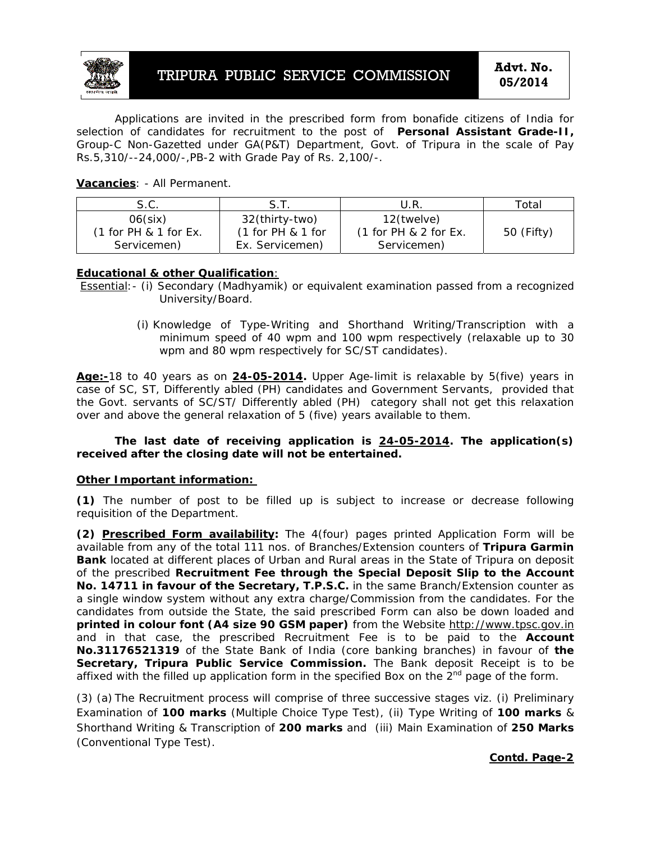

Applications are invited in the prescribed form from bonafide citizens of India for selection of candidates for recruitment to the post of **Personal Assistant Grade-II,** Group-C Non-Gazetted under GA(P&T) Department, Govt. of Tripura in the scale of Pay Rs.5,310/--24,000/-,PB-2 with Grade Pay of Rs. 2,100/-.

# **Vacancies**: - All Permanent.

| S.C.                    |                     | U.R.                    | Total      |
|-------------------------|---------------------|-------------------------|------------|
| $06$ (six)              | 32(thirty-two)      | 12(twelve)              | 50 (Fifty) |
| $(1$ for PH & 1 for Ex. | $(1$ for PH & 1 for | $(1$ for PH & 2 for Ex. |            |
| Servicemen)             | Ex. Servicemen)     | Servicemen)             |            |

### **Educational & other Qualification**:

Essential:- (i) Secondary (Madhyamik) or equivalent examination passed from a recognized University/Board.

> (i) Knowledge of Type-Writing and Shorthand Writing/Transcription with a minimum speed of 40 wpm and 100 wpm respectively (relaxable up to 30 wpm and 80 wpm respectively for SC/ST candidates).

**Age:-**18 to 40 years as on **24-05-2014.** Upper Age-limit is relaxable by 5(five) years in case of SC, ST, Differently abled (PH) candidates and Government Servants, provided that the Govt. servants of SC/ST/ Differently abled (PH) category shall not get this relaxation over and above the general relaxation of 5 (five) years available to them.

**The last date of receiving application is 24-05-2014. The application(s) received after the closing date will not be entertained.** 

#### **Other Important information:**

**(1)** The number of post to be filled up is subject to increase or decrease following requisition of the Department.

**(2) Prescribed Form availability:** The 4(four) pages printed Application Form will be available from any of the total 111 nos. of Branches/Extension counters of **Tripura Garmin Bank** located at different places of Urban and Rural areas in the State of Tripura on deposit of the prescribed **Recruitment Fee through the Special Deposit Slip to the Account No. 14711 in favour of the Secretary, T.P.S.C.** in the same Branch/Extension counter as a single window system without any extra charge/Commission from the candidates. For the candidates from outside the State, the said prescribed Form can also be down loaded and **printed in colour font (A4 size 90 GSM paper)** from the Website http://www.tpsc.gov.in and in that case, the prescribed Recruitment Fee is to be paid to the **Account No.31176521319** of the State Bank of India (core banking branches) in favour of **the Secretary, Tripura Public Service Commission.** The Bank deposit Receipt is to be affixed with the filled up application form in the specified Box on the  $2<sup>nd</sup>$  page of the form.

(3) (a) The Recruitment process will comprise of three successive stages viz. (i) Preliminary Examination of **100 marks** (Multiple Choice Type Test), (ii) Type Writing of **100 marks** & Shorthand Writing & Transcription of **200 marks** and (iii) Main Examination of **250 Marks**  (Conventional Type Test).

**Contd. Page-2**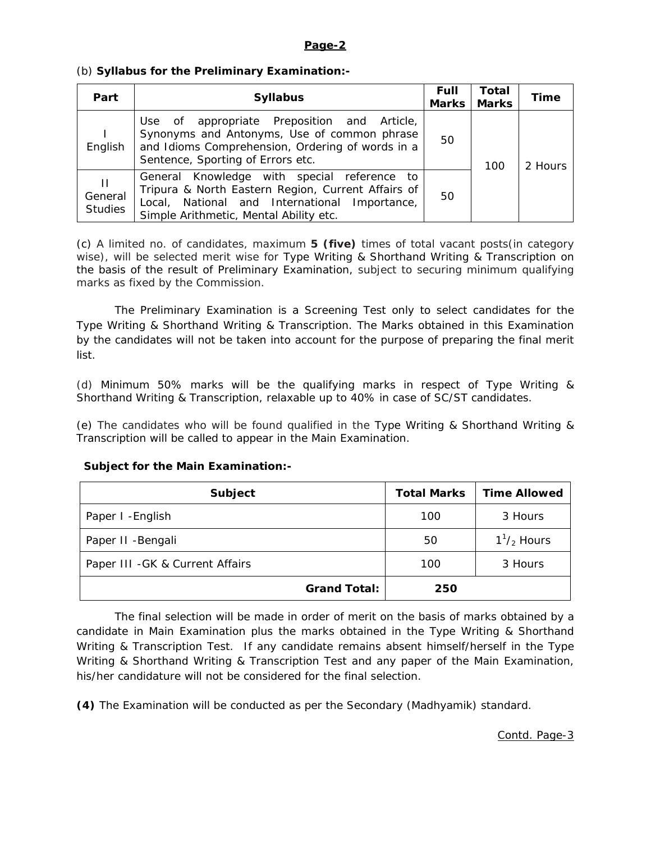### **Page-2**

# (b) **Syllabus for the Preliminary Examination:-**

| Part                           | <b>Syllabus</b>                                                                                                                                                                              |    | Total<br><b>Marks</b><br>Marks | Time    |
|--------------------------------|----------------------------------------------------------------------------------------------------------------------------------------------------------------------------------------------|----|--------------------------------|---------|
| English                        | Use of appropriate Preposition and Article,<br>Synonyms and Antonyms, Use of common phrase<br>and Idioms Comprehension, Ordering of words in a<br>Sentence, Sporting of Errors etc.          | 50 | 100                            | 2 Hours |
| Ш<br>General<br><b>Studies</b> | General Knowledge with special reference to<br>Tripura & North Eastern Region, Current Affairs of<br>Local, National and International Importance,<br>Simple Arithmetic, Mental Ability etc. | 50 |                                |         |

(c) A limited no. of candidates, maximum **5 (five)** times of total vacant posts(in category wise), will be selected merit wise for Type Writing & Shorthand Writing & Transcription on the basis of the result of Preliminary Examination, subject to securing minimum qualifying marks as fixed by the Commission.

The Preliminary Examination is a Screening Test only to select candidates for the Type Writing & Shorthand Writing & Transcription. The Marks obtained in this Examination by the candidates will not be taken into account for the purpose of preparing the final merit list.

(d) Minimum 50% marks will be the qualifying marks in respect of Type Writing & Shorthand Writing & Transcription, relaxable up to 40% in case of SC/ST candidates.

(e) The candidates who will be found qualified in the Type Writing & Shorthand Writing & Transcription will be called to appear in the Main Examination.

| <b>Subject</b>                   | <b>Total Marks</b> | <b>Time Allowed</b>        |  |
|----------------------------------|--------------------|----------------------------|--|
| Paper I - English                | 100                | 3 Hours                    |  |
| Paper II - Bengali               | 50                 | $1^1$ / <sub>2</sub> Hours |  |
| Paper III - GK & Current Affairs | 100                | 3 Hours                    |  |
| <b>Grand Total:</b>              | 250                |                            |  |

# **Subject for the Main Examination:-**

The final selection will be made in order of merit on the basis of marks obtained by a candidate in Main Examination plus the marks obtained in the Type Writing & Shorthand Writing & Transcription Test. If any candidate remains absent himself/herself in the Type Writing & Shorthand Writing & Transcription Test and any paper of the Main Examination, his/her candidature will not be considered for the final selection.

**(4)** The Examination will be conducted as per the Secondary (Madhyamik) standard.

Contd. Page-3